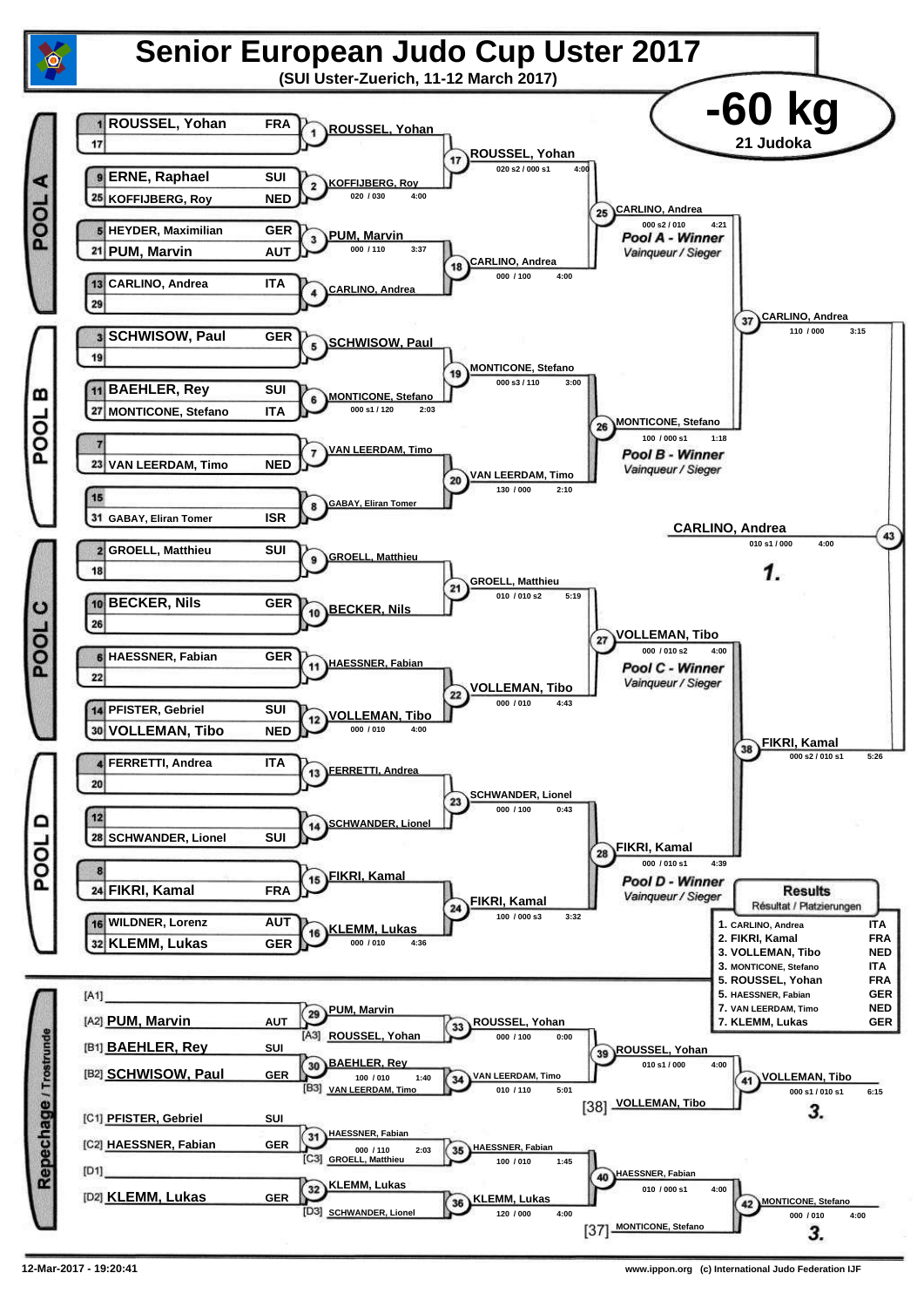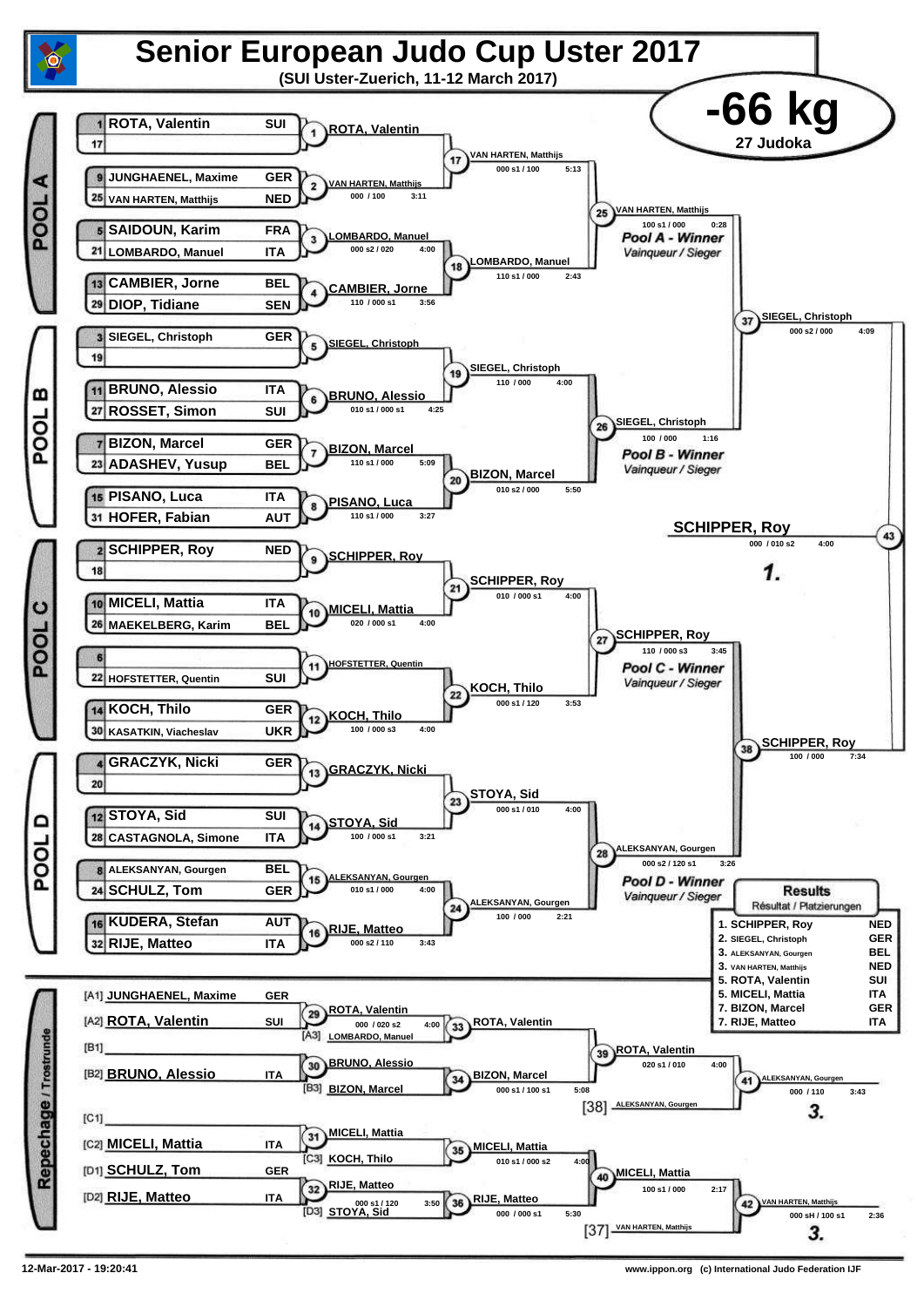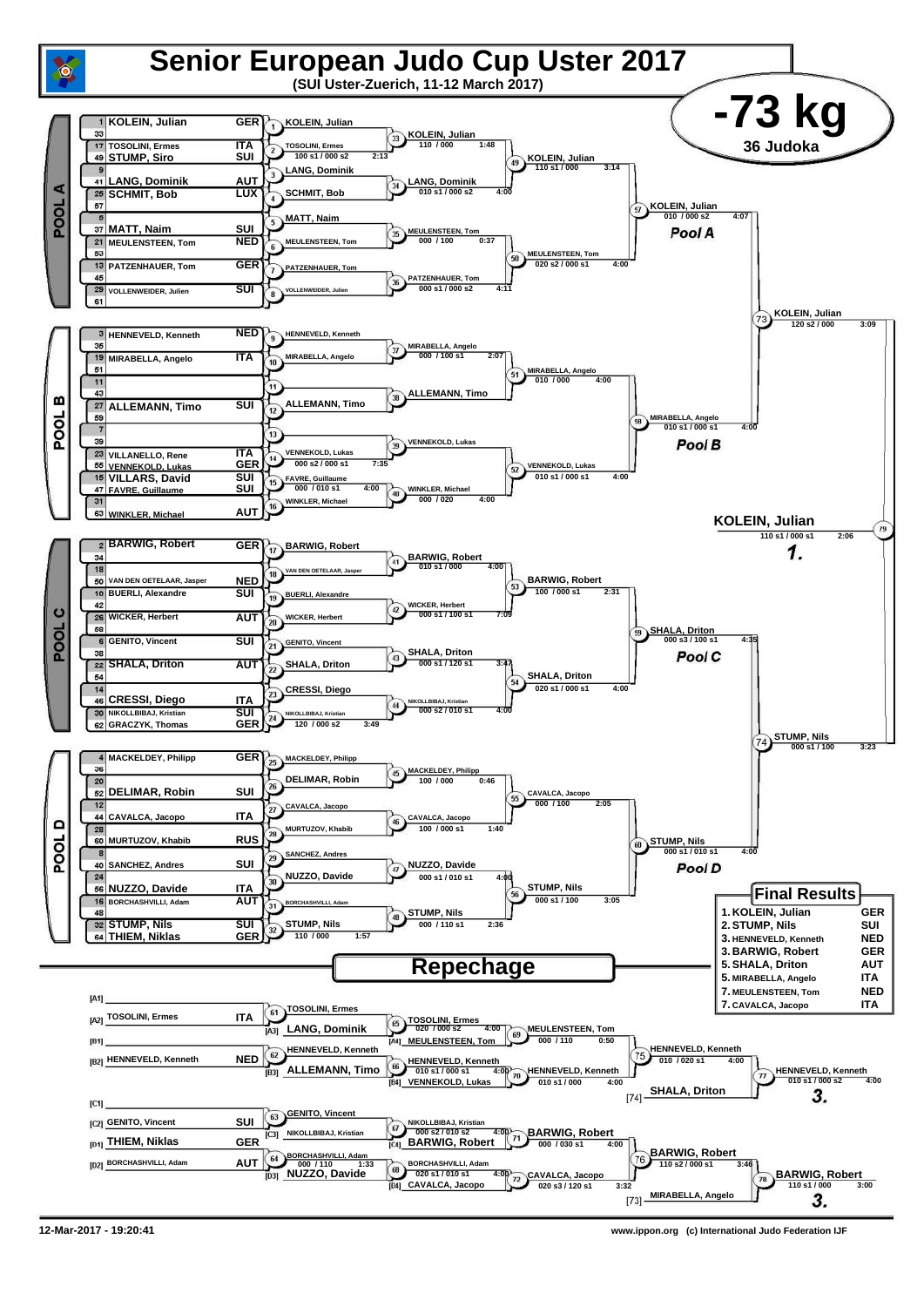

**12-Mar-2017 - 19:20:41 www.ippon.org (c) International Judo Federation IJF**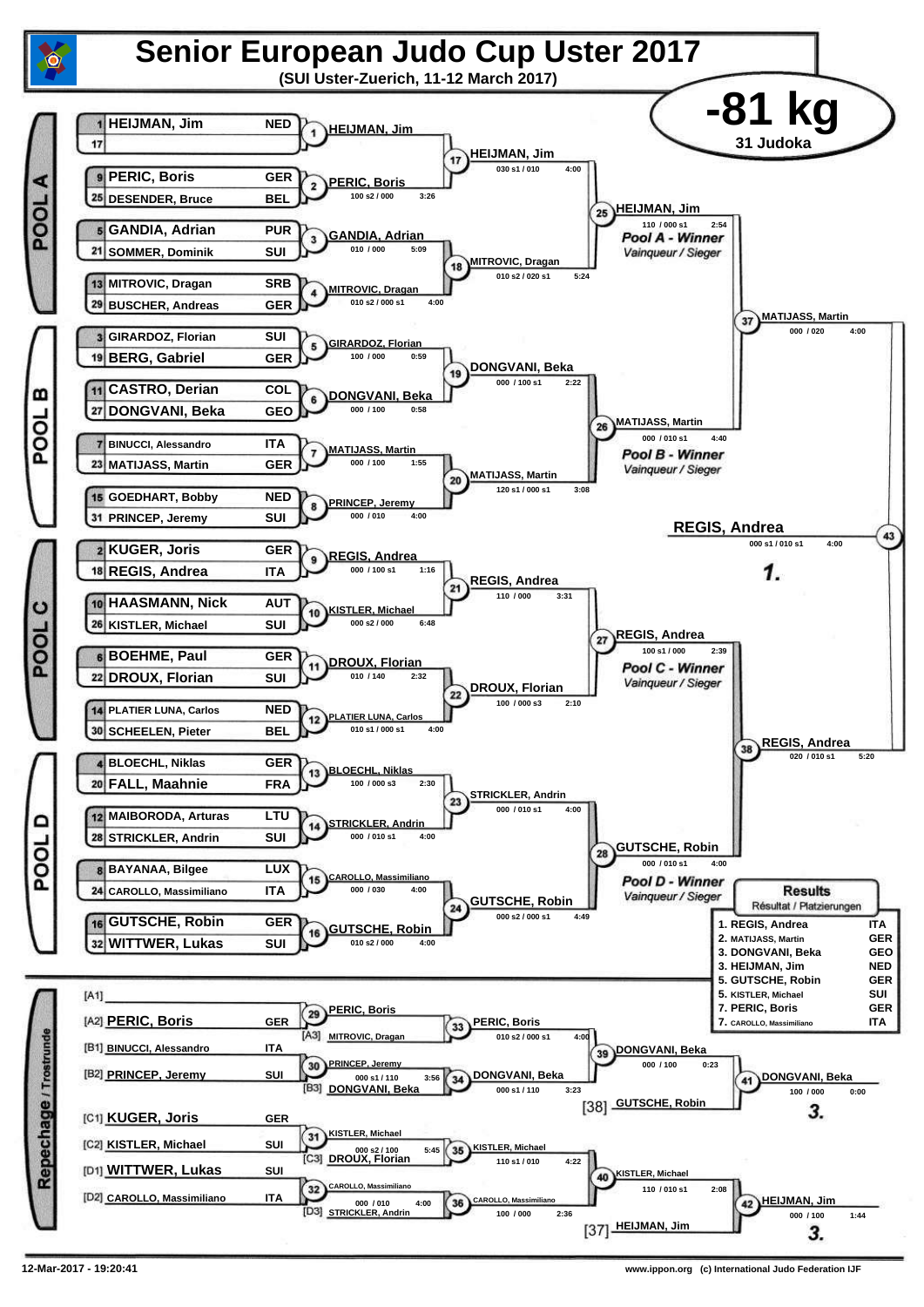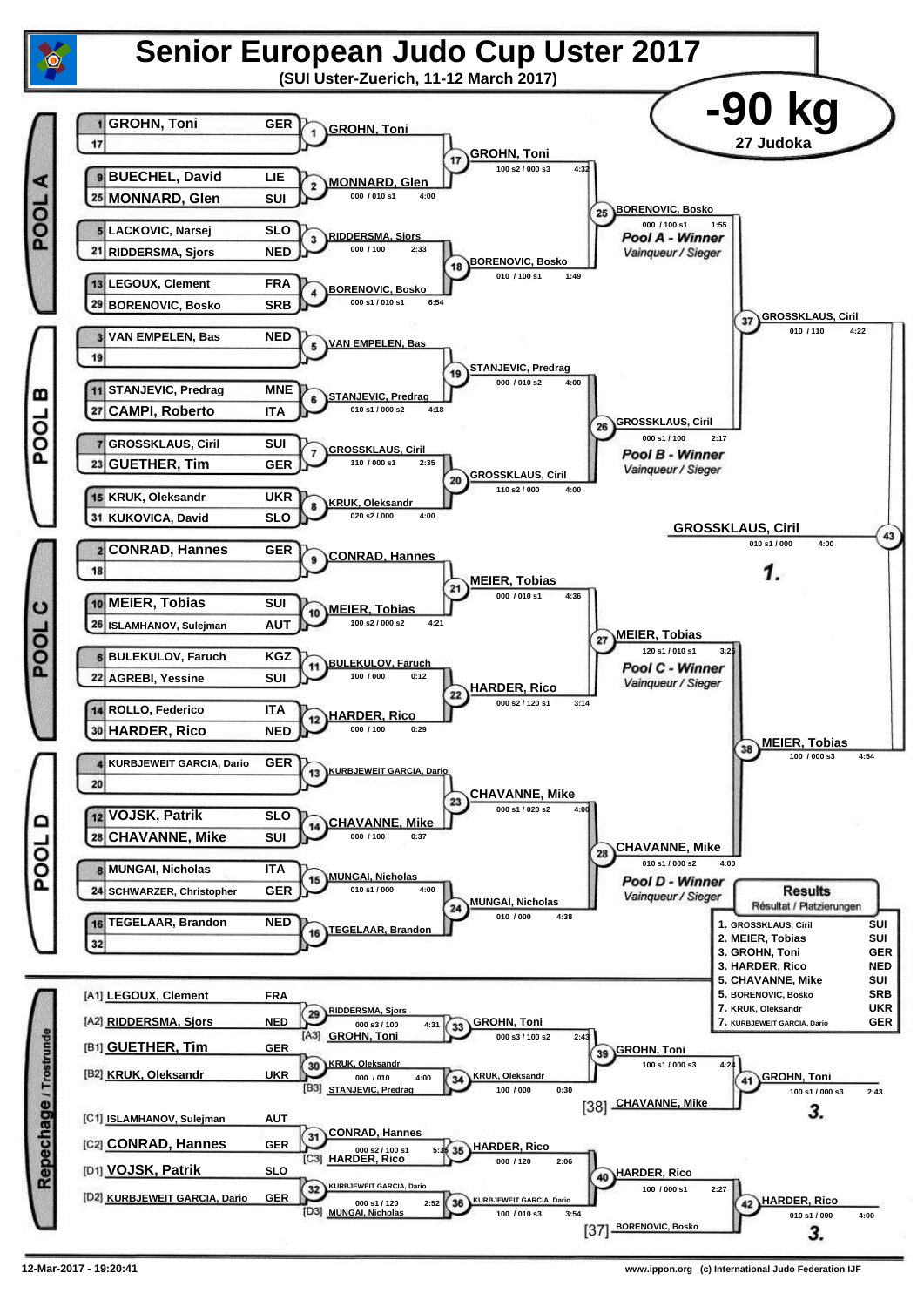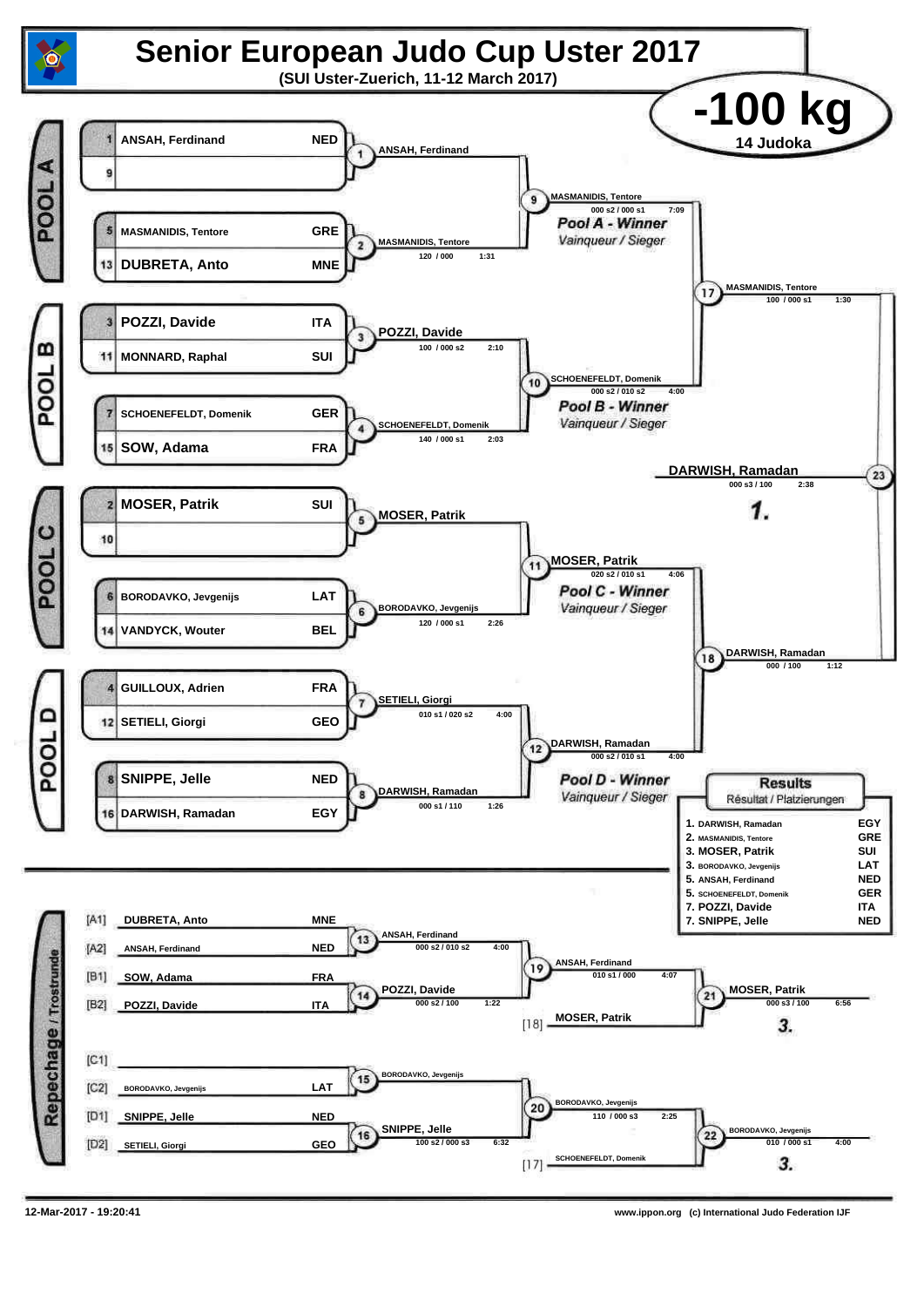